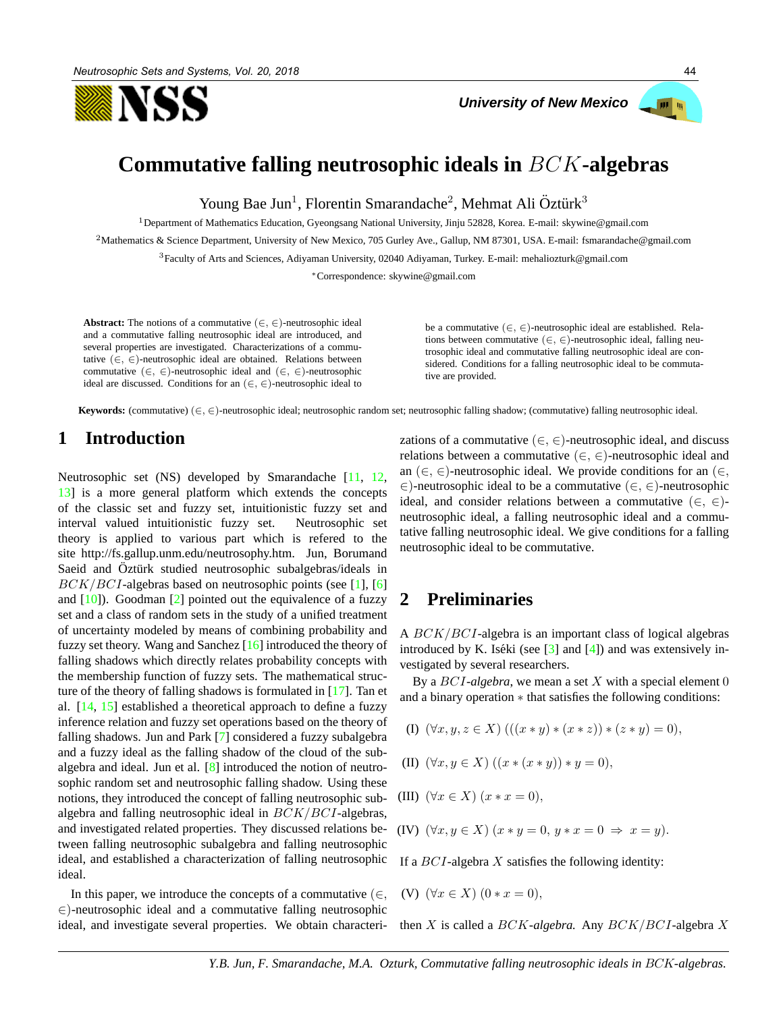



# **Commutative falling neutrosophic ideals in** BCK**-algebras**

Young Bae Jun<sup>1</sup>, Florentin Smarandache<sup>2</sup>, Mehmat Ali Öztürk<sup>3</sup>

<sup>1</sup>Department of Mathematics Education, Gyeongsang National University, Jinju 52828, Korea. E-mail: skywine@gmail.com

<sup>2</sup>Mathematics & Science Department, University of New Mexico, 705 Gurley Ave., Gallup, NM 87301, USA. E-mail: fsmarandache@gmail.com

<sup>3</sup>Faculty of Arts and Sciences, Adiyaman University, 02040 Adiyaman, Turkey. E-mail: mehaliozturk@gmail.com

<sup>∗</sup>Correspondence: skywine@gmail.com

**Abstract:** The notions of a commutative  $(\in, \in)$ -neutrosophic ideal and a commutative falling neutrosophic ideal are introduced, and several properties are investigated. Characterizations of a commutative  $(\in, \in)$ -neutrosophic ideal are obtained. Relations between commutative ( $\in$ ,  $\in$ )-neutrosophic ideal and ( $\in$ ,  $\in$ )-neutrosophic ideal are discussed. Conditions for an  $(\in, \in)$ -neutrosophic ideal to

be a commutative  $(\in, \in)$ -neutrosophic ideal are established. Relations between commutative ( $\in, \in$ )-neutrosophic ideal, falling neutrosophic ideal and commutative falling neutrosophic ideal are considered. Conditions for a falling neutrosophic ideal to be commutative are provided.

**Keywords:** (commutative) (∈, ∈)-neutrosophic ideal; neutrosophic random set; neutrosophic falling shadow; (commutative) falling neutrosophic ideal.

### **1 Introduction**

Neutrosophic set (NS) developed by Smarandache [11, 12, 13] is a more general platform which extends the concepts of the classic set and fuzzy set, intuitionistic fuzzy set and interval valued intuitionistic fuzzy set. Neutrosophic set theory is applied to various part which is refered to the site http://fs.gallup.unm.edu/neutrosophy.htm. Jun, Borumand Saeid and Oztürk studied neutrosophic subalgebras/ideals in  $BCK/BCI$ -algebras based on neutrosophic points (see [1], [6] and  $[10]$ ). Goodman  $[2]$  pointed out the equivalence of a fuzzy set and a class of random sets in the study of a unified treatment of uncertainty modeled by means of combining probability and fuzzy set theory. Wang and Sanchez [16] introduced the theory of falling shadows which directly relates probability concepts with the membership function of fuzzy sets. The mathematical structure of the theory of falling shadows is formulated in [17]. Tan et al. [14, 15] established a theoretical approach to define a fuzzy inference relation and fuzzy set operations based on the theory of falling shadows. Jun and Park [7] considered a fuzzy subalgebra and a fuzzy ideal as the falling shadow of the cloud of the subalgebra and ideal. Jun et al. [8] introduced the notion of neutrosophic random set and neutrosophic falling shadow. Using these notions, they introduced the concept of falling neutrosophic subalgebra and falling neutrosophic ideal in BCK/BCI-algebras, and investigated related properties. They discussed relations between falling neutrosophic subalgebra and falling neutrosophic ideal, and established a characterization of falling neutrosophic ideal.

In this paper, we introduce the concepts of a commutative  $(\in,$ ∈)-neutrosophic ideal and a commutative falling neutrosophic ideal, and investigate several properties. We obtain characteri-

zations of a commutative ( $\in, \in$ )-neutrosophic ideal, and discuss relations between a commutative  $(\in, \in)$ -neutrosophic ideal and an ( $\in$ ,  $\in$ )-neutrosophic ideal. We provide conditions for an ( $\in$ , ∈)-neutrosophic ideal to be a commutative (∈, ∈)-neutrosophic ideal, and consider relations between a commutative  $(\in, \in)$ neutrosophic ideal, a falling neutrosophic ideal and a commutative falling neutrosophic ideal. We give conditions for a falling neutrosophic ideal to be commutative.

#### **2 Preliminaries**

A BCK/BCI-algebra is an important class of logical algebras introduced by K. Iséki (see  $[3]$  and  $[4]$ ) and was extensively investigated by several researchers.

By a  $BCI$ -algebra, we mean a set  $X$  with a special element  $0$ and a binary operation ∗ that satisfies the following conditions:

(I)  $(\forall x, y, z \in X)$   $(((x * y) * (x * z)) * (z * y) = 0),$ 

(II) 
$$
(\forall x, y \in X) ((x * (x * y)) * y = 0),
$$

- (III)  $(\forall x \in X)$   $(x * x = 0)$ ,
- (IV)  $(\forall x, y \in X)$   $(x * y = 0, y * x = 0 \Rightarrow x = y)$ .

If a  $BCI$ -algebra X satisfies the following identity:

(V) 
$$
(\forall x \in X) (0 * x = 0),
$$

then X is called a BCK*-algebra.* Any BCK/BCI-algebra X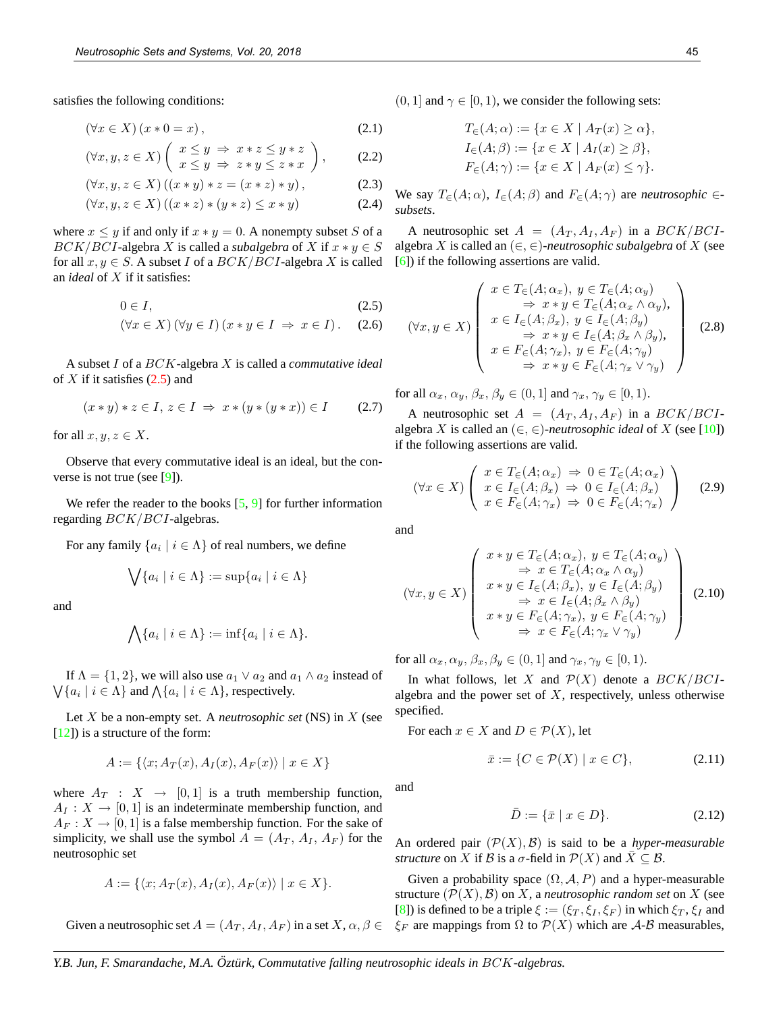satisfies the following conditions:

$$
(\forall x \in X) (x * 0 = x), \tag{2.1}
$$

$$
(\forall x, y, z \in X) \left( \begin{array}{c} x \le y \implies x * z \le y * z \\ x \le y \implies z * y \le z * x \end{array} \right), \quad (2.2)
$$

$$
(\forall x, y, z \in X) ((x * y) * z = (x * z) * y),
$$
 (2.3)

$$
(\forall x, y, z \in X) ((x * z) * (y * z) \le x * y)
$$
\n(2.4)

where  $x \leq y$  if and only if  $x * y = 0$ . A nonempty subset S of a  $BCK/BCI$ -algebra X is called a *subalgebra* of X if  $x * y \in S$ for all  $x, y \in S$ . A subset I of a  $BCK/BCI$ -algebra X is called an *ideal* of X if it satisfies:

$$
0 \in I,\tag{2.5}
$$

$$
(\forall x \in X) (\forall y \in I) (x * y \in I \Rightarrow x \in I).
$$
 (2.6)

A subset I of a BCK-algebra X is called a *commutative ideal* of  $X$  if it satisfies  $(2.5)$  and

$$
(x * y) * z \in I, z \in I \implies x * (y * (y * x)) \in I \tag{2.7}
$$

for all  $x, y, z \in X$ .

Observe that every commutative ideal is an ideal, but the converse is not true (see [9]).

We refer the reader to the books  $[5, 9]$  for further information regarding BCK/BCI-algebras.

For any family  $\{a_i \mid i \in \Lambda\}$  of real numbers, we define

$$
\bigvee \{a_i \mid i \in \Lambda\} := \sup \{a_i \mid i \in \Lambda\}
$$

and

$$
\bigwedge \{a_i \mid i \in \Lambda\} := \inf \{a_i \mid i \in \Lambda\}.
$$

If  $\Lambda = \{1, 2\}$ , we will also use  $a_1 \vee a_2$  and  $a_1 \wedge a_2$  instead of  $\bigvee \{a_i \mid i \in \Lambda\}$  and  $\bigwedge \{a_i \mid i \in \Lambda\}$ , respectively.

Let X be a non-empty set. A *neutrosophic set* (NS) in X (see [12]) is a structure of the form:

$$
A := \{ \langle x; A_T(x), A_I(x), A_F(x) \rangle \mid x \in X \}
$$

where  $A_T : X \rightarrow [0,1]$  is a truth membership function,  $A_I: X \to [0,1]$  is an indeterminate membership function, and  $A_F: X \to [0, 1]$  is a false membership function. For the sake of simplicity, we shall use the symbol  $A = (A_T, A_I, A_F)$  for the neutrosophic set

$$
A := \{ \langle x; A_T(x), A_I(x), A_F(x) \rangle \mid x \in X \}.
$$

Given a neutrosophic set  $A = (A_T, A_I, A_F)$  in a set  $X, \alpha, \beta \in$ 

 $(0, 1]$  and  $\gamma \in [0, 1)$ , we consider the following sets:

$$
T_{\in}(A; \alpha) := \{ x \in X \mid A_T(x) \ge \alpha \},
$$
  
\n
$$
I_{\in}(A; \beta) := \{ x \in X \mid A_I(x) \ge \beta \},
$$
  
\n
$$
F_{\in}(A; \gamma) := \{ x \in X \mid A_F(x) \le \gamma \}.
$$

We say  $T_{\in}(A; \alpha)$ ,  $I_{\in}(A; \beta)$  and  $F_{\in}(A; \gamma)$  are *neutrosophic*  $\in$ *subsets*.

A neutrosophic set  $A = (A_T, A_I, A_F)$  in a  $BCK/BCI$ algebra X is called an  $(\in, \in)$ -neutrosophic subalgebra of X (see [6]) if the following assertions are valid.

$$
(\forall x, y \in X) \left( \begin{array}{c} x \in T_{\in}(A; \alpha_x), y \in T_{\in}(A; \alpha_y) \\ \Rightarrow x * y \in T_{\in}(A; \alpha_x \wedge \alpha_y), \\ x \in I_{\in}(A; \beta_x), y \in I_{\in}(A; \beta_y) \\ \Rightarrow x * y \in I_{\in}(A; \beta_x \wedge \beta_y), \\ x \in F_{\in}(A; \gamma_x), y \in F_{\in}(A; \gamma_y) \\ \Rightarrow x * y \in F_{\in}(A; \gamma_x \vee \gamma_y) \end{array} \right) (2.8)
$$

for all  $\alpha_x, \alpha_y, \beta_x, \beta_y \in (0, 1]$  and  $\gamma_x, \gamma_y \in [0, 1)$ .

A neutrosophic set  $A = (A_T, A_I, A_F)$  in a  $BCK/BCI$ algebra X is called an  $(\in, \in)$ -neutrosophic ideal of X (see [10]) if the following assertions are valid.

$$
(\forall x \in X) \left( \begin{array}{c} x \in T_{\in}(A; \alpha_{x}) \Rightarrow 0 \in T_{\in}(A; \alpha_{x}) \\ x \in I_{\in}(A; \beta_{x}) \Rightarrow 0 \in I_{\in}(A; \beta_{x}) \\ x \in F_{\in}(A; \gamma_{x}) \Rightarrow 0 \in F_{\in}(A; \gamma_{x}) \end{array} \right) \tag{2.9}
$$

and

$$
(\forall x, y \in X) \left(\begin{array}{c} x * y \in T_{\in}(A; \alpha_x), y \in T_{\in}(A; \alpha_y) \\ \Rightarrow x \in T_{\in}(A; \alpha_x \wedge \alpha_y) \\ x * y \in I_{\in}(A; \beta_x), y \in I_{\in}(A; \beta_y) \\ \Rightarrow x \in I_{\in}(A; \beta_x \wedge \beta_y) \\ x * y \in F_{\in}(A; \gamma_x), y \in F_{\in}(A; \gamma_y) \\ \Rightarrow x \in F_{\in}(A; \gamma_x \vee \gamma_y) \end{array}\right) (2.10)
$$

for all  $\alpha_x, \alpha_y, \beta_x, \beta_y \in (0, 1]$  and  $\gamma_x, \gamma_y \in [0, 1)$ .

In what follows, let X and  $\mathcal{P}(X)$  denote a  $BCK/BCI$ algebra and the power set of  $X$ , respectively, unless otherwise specified.

For each  $x \in X$  and  $D \in \mathcal{P}(X)$ , let

$$
\bar{x} := \{ C \in \mathcal{P}(X) \mid x \in C \},\tag{2.11}
$$

and

$$
\bar{D} := \{ \bar{x} \mid x \in D \}. \tag{2.12}
$$

An ordered pair  $(\mathcal{P}(X), \mathcal{B})$  is said to be a *hyper-measurable structure* on X if B is a  $\sigma$ -field in  $\mathcal{P}(X)$  and  $\overline{X} \subseteq \mathcal{B}$ .

Given a probability space  $(\Omega, \mathcal{A}, P)$  and a hyper-measurable structure  $(\mathcal{P}(X), \mathcal{B})$  on X, a *neutrosophic random set* on X (see [8]) is defined to be a triple  $\xi := (\xi_T, \xi_I, \xi_F)$  in which  $\xi_T, \xi_I$  and  $\xi_F$  are mappings from  $\Omega$  to  $\mathcal{P}(X)$  which are A-B measurables,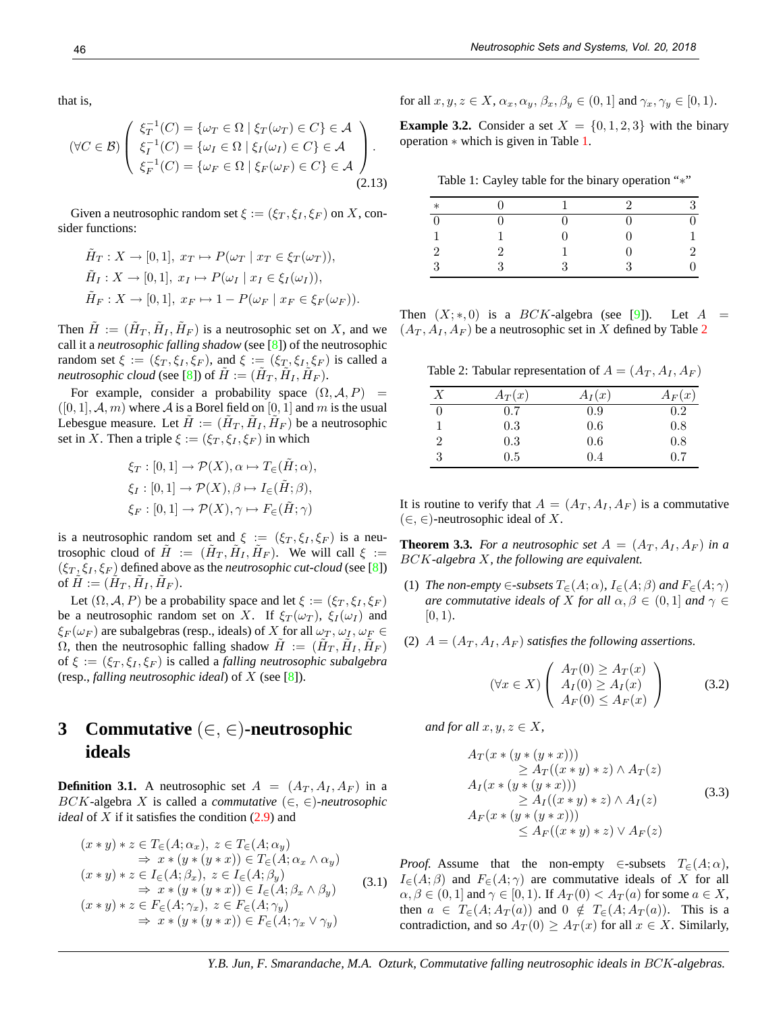that is,

$$
(\forall C \in \mathcal{B}) \left( \begin{array}{c} \xi_T^{-1}(C) = \{ \omega_T \in \Omega \mid \xi_T(\omega_T) \in C \} \in \mathcal{A} \\ \xi_I^{-1}(C) = \{ \omega_I \in \Omega \mid \xi_I(\omega_I) \in C \} \in \mathcal{A} \\ \xi_F^{-1}(C) = \{ \omega_F \in \Omega \mid \xi_F(\omega_F) \in C \} \in \mathcal{A} \end{array} \right). \tag{2.13}
$$

Given a neutrosophic random set  $\xi := (\xi_T, \xi_I, \xi_F)$  on X, consider functions:

$$
\tilde{H}_T: X \to [0,1], x_T \mapsto P(\omega_T \mid x_T \in \xi_T(\omega_T)),
$$
  
\n
$$
\tilde{H}_I: X \to [0,1], x_I \mapsto P(\omega_I \mid x_I \in \xi_I(\omega_I)),
$$
  
\n
$$
\tilde{H}_F: X \to [0,1], x_F \mapsto 1 - P(\omega_F \mid x_F \in \xi_F(\omega_F)).
$$

Then  $\tilde{H} := (\tilde{H}_T, \tilde{H}_I, \tilde{H}_F)$  is a neutrosophic set on X, and we call it a *neutrosophic falling shadow* (see [8]) of the neutrosophic random set  $\xi := (\xi_T, \xi_I, \xi_F)$ , and  $\xi := (\xi_T, \xi_I, \xi_F)$  is called a *neutrosophic cloud* (see [8]) of  $\tilde{H} := (\tilde{H}_T, \tilde{H}_I, \tilde{H}_F)$ .

For example, consider a probability space  $(\Omega, \mathcal{A}, P)$  =  $([0, 1], \mathcal{A}, m)$  where  $\mathcal{A}$  is a Borel field on  $[0, 1]$  and m is the usual Lebesgue measure. Let  $\tilde{H} := (\tilde{H}_T, \tilde{H}_I, \tilde{H}_F)$  be a neutrosophic set in X. Then a triple  $\xi := (\xi_T, \xi_I, \xi_F)$  in which

$$
\xi_T : [0,1] \to \mathcal{P}(X), \alpha \mapsto T_{\in}(\tilde{H}; \alpha),
$$
  
\n
$$
\xi_I : [0,1] \to \mathcal{P}(X), \beta \mapsto I_{\in}(\tilde{H}; \beta),
$$
  
\n
$$
\xi_F : [0,1] \to \mathcal{P}(X), \gamma \mapsto F_{\in}(\tilde{H}; \gamma)
$$

is a neutrosophic random set and  $\xi := (\xi_T, \xi_I, \xi_F)$  is a neutrosophic cloud of  $\tilde{H} := (\tilde{H}_T, \tilde{H}_I, \tilde{H}_F)$ . We will call  $\xi :=$  $(\xi_T, \xi_I, \xi_F)$  defined above as the *neutrosophic cut-cloud* (see [8]) of  $\tilde{H} := (\tilde{H}_T, \tilde{H}_I, \tilde{H}_F).$ 

Let  $(\Omega, \mathcal{A}, P)$  be a probability space and let  $\xi := (\xi_T, \xi_I, \xi_F)$ be a neutrosophic random set on X. If  $\xi_T(\omega_T)$ ,  $\xi_I(\omega_I)$  and  $\xi_F(\omega_F)$  are subalgebras (resp., ideals) of X for all  $\omega_T$ ,  $\omega_I$ ,  $\omega_F \in$  $\Omega$ , then the neutrosophic falling shadow  $\tilde{H} := (\tilde{H}_T, \tilde{H}_I, \tilde{H}_F)$ of  $\xi := (\xi_T, \xi_I, \xi_F)$  is called a *falling neutrosophic subalgebra* (resp., *falling neutrosophic ideal*) of X (see [8]).

## **3 Commutative** (∈, ∈)**-neutrosophic ideals**

**Definition 3.1.** A neutrosophic set  $A = (A_T, A_I, A_F)$  in a BCK-algebra X is called a *commutative*  $(\in, \in)$ -neutrosophic *ideal* of X if it satisfies the condition (2.9) and

$$
(x * y) * z \in T_{\in}(A; \alpha_x), z \in T_{\in}(A; \alpha_y)
$$
  
\n
$$
\Rightarrow x * (y * (y * x)) \in T_{\in}(A; \alpha_x \wedge \alpha_y)
$$
  
\n
$$
(x * y) * z \in I_{\in}(A; \beta_x), z \in I_{\in}(A; \beta_y)
$$
  
\n
$$
\Rightarrow x * (y * (y * x)) \in I_{\in}(A; \beta_x \wedge \beta_y)
$$
  
\n
$$
(x * y) * z \in F_{\in}(A; \gamma_x), z \in F_{\in}(A; \gamma_y)
$$
  
\n
$$
\Rightarrow x * (y * (y * x)) \in F_{\in}(A; \gamma_x \vee \gamma_y)
$$
  
\n(3.1

for all  $x, y, z \in X$ ,  $\alpha_x, \alpha_y, \beta_x, \beta_y \in (0, 1]$  and  $\gamma_x, \gamma_y \in [0, 1)$ .

**Example 3.2.** Consider a set  $X = \{0, 1, 2, 3\}$  with the binary operation ∗ which is given in Table 1.

Table 1: Cayley table for the binary operation "∗"

| $\ast$ |  | $\mathcal{D}$ | ર      |
|--------|--|---------------|--------|
|        |  | 0             |        |
|        |  | 0             | 1      |
|        |  | 0             | $^{2}$ |
|        |  | 2             |        |

Then  $(X;*,0)$  is a  $BCK$ -algebra (see [9]). Let  $A =$  $(A_T, A_I, A_F)$  be a neutrosophic set in X defined by Table 2

Table 2: Tabular representation of  $A = (A_T, A_I, A_F)$ 

|   | $A_T(x)$ | $A_I(x)$ | $A_F(x)$ |
|---|----------|----------|----------|
|   | 0.7      | 0.9      | 0.2      |
|   | 0.3      | 0.6      | 0.8      |
| 2 | 0.3      | 0.6      | 0.8      |
| 3 | 0.5      | 0.4      | 0.7      |

It is routine to verify that  $A = (A_T, A_I, A_F)$  is a commutative  $(∈, ∈)$ -neutrosophic ideal of X.

**Theorem 3.3.** *For a neutrosophic set*  $A = (A_T, A_I, A_F)$  *in a* BCK*-algebra* X*, the following are equivalent.*

- (1) *The non-empty*  $\in$ -*subsets*  $T_{\infty}(A; \alpha)$ *,*  $I_{\infty}(A; \beta)$  *and*  $F_{\infty}(A; \gamma)$ *are commutative ideals of* X *for all*  $\alpha, \beta \in (0, 1]$  *and*  $\gamma \in$  $[0, 1)$ .
- (2)  $A = (A_T, A_I, A_F)$  *satisfies the following assertions.*

$$
(\forall x \in X) \left( \begin{array}{c} A_T(0) \ge A_T(x) \\ A_I(0) \ge A_I(x) \\ A_F(0) \le A_F(x) \end{array} \right) \tag{3.2}
$$

*and for all*  $x, y, z \in X$ ,

$$
A_T(x * (y * (y * x)))
$$
  
\n
$$
\geq A_T((x * y) * z) \land A_T(z)
$$
  
\n
$$
A_I(x * (y * (y * x)))
$$
  
\n
$$
\geq A_I((x * y) * z) \land A_I(z)
$$
  
\n
$$
A_F(x * (y * (y * x)))
$$
  
\n
$$
\leq A_F((x * y) * z) \lor A_F(z)
$$
\n(3.3)

(3.1)  $I_{\in}(A;\beta)$  and  $F_{\in}(A;\gamma)$  are commutative ideals of X for all *Proof.* Assume that the non-empty ∈-subsets  $T_{\infty}(A; \alpha)$ ,  $\alpha, \beta \in (0, 1]$  and  $\gamma \in [0, 1)$ . If  $A_T(0) < A_T(a)$  for some  $a \in X$ , then  $a \in T_{\in}(A; A_T(a))$  and  $0 \notin T_{\in}(A; A_T(a))$ . This is a contradiction, and so  $A_T(0) \geq A_T(x)$  for all  $x \in X$ . Similarly,

*Y.B. Jun, F. Smarandache, M.A. Ozturk, Commutative falling neutrosophic ideals in* BCK*-algebras.*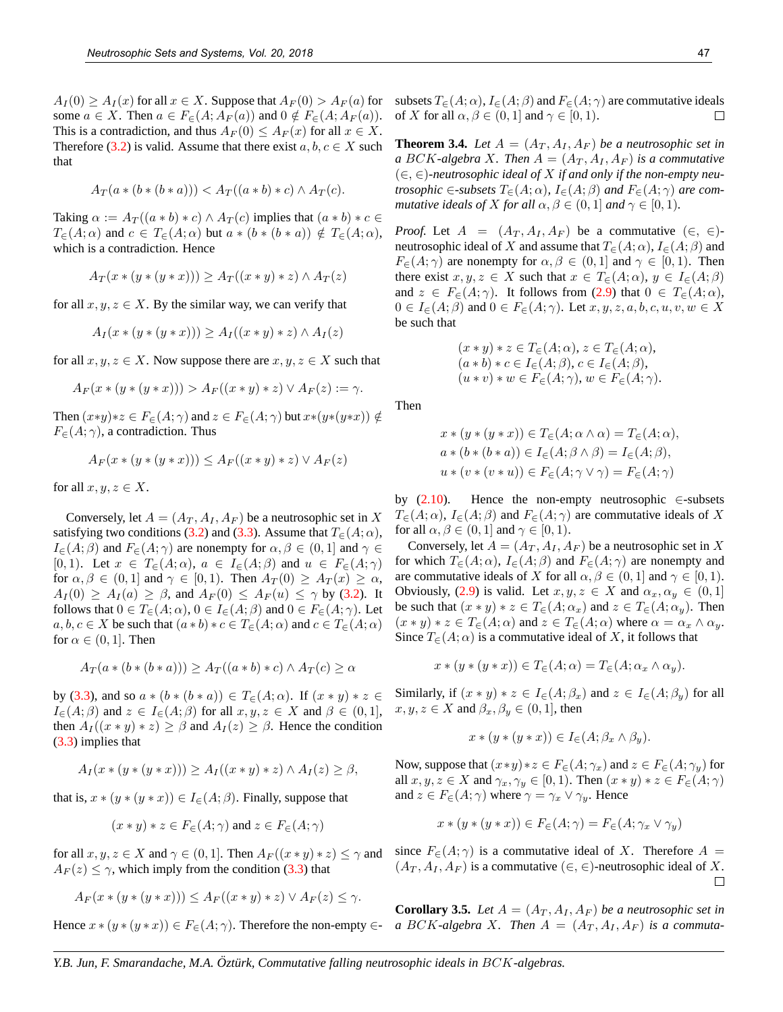$A_I(0) \ge A_I(x)$  for all  $x \in X$ . Suppose that  $A_F(0) > A_F(a)$  for some  $a \in X$ . Then  $a \in F_{\in}(A; A_F(a))$  and  $0 \notin F_{\in}(A; A_F(a))$ . This is a contradiction, and thus  $A_F(0) \leq A_F(x)$  for all  $x \in X$ . Therefore (3.2) is valid. Assume that there exist  $a, b, c \in X$  such that

$$
A_T(a*(b*(b*a))) < A_T((a*b)*c) \wedge A_T(c).
$$

Taking  $\alpha := A_T((a * b) * c) \wedge A_T(c)$  implies that  $(a * b) * c \in$  $T_{\epsilon}(A; \alpha)$  and  $c \in T_{\epsilon}(A; \alpha)$  but  $a * (b * (b * a)) \notin T_{\epsilon}(A; \alpha)$ , which is a contradiction. Hence

$$
A_T(x * (y * (y * x))) \ge A_T((x * y) * z) \wedge A_T(z)
$$

for all  $x, y, z \in X$ . By the similar way, we can verify that

$$
A_I(x * (y * (y * x))) \ge A_I((x * y) * z) \wedge A_I(z)
$$

for all  $x, y, z \in X$ . Now suppose there are  $x, y, z \in X$  such that

$$
A_F(x * (y * (y * x))) > A_F((x * y) * z) \vee A_F(z) := \gamma.
$$

Then  $(x*y)*z \in F_{\in}(A; \gamma)$  and  $z \in F_{\in}(A; \gamma)$  but  $x*(y*(y*x)) \notin$  $F_{\in}(A; \gamma)$ , a contradiction. Thus

$$
A_F(x * (y * (y * x))) \le A_F((x * y) * z) \vee A_F(z)
$$

for all  $x, y, z \in X$ .

Conversely, let  $A = (A_T, A_I, A_F)$  be a neutrosophic set in X satisfying two conditions (3.2) and (3.3). Assume that  $T_{\infty}(A; \alpha)$ ,  $I_{\in}(A;\beta)$  and  $F_{\in}(A;\gamma)$  are nonempty for  $\alpha,\beta \in (0,1]$  and  $\gamma \in$ [0, 1). Let  $x \in T_{\in}(A; \alpha)$ ,  $a \in I_{\in}(A; \beta)$  and  $u \in F_{\in}(A; \gamma)$ for  $\alpha, \beta \in (0,1]$  and  $\gamma \in [0,1)$ . Then  $A_T(0) \geq A_T(x) \geq \alpha$ ,  $A_I(0) \ge A_I(a) \ge \beta$ , and  $A_F(0) \le A_F(u) \le \gamma$  by (3.2). It follows that  $0 \in T_{\epsilon}(A; \alpha)$ ,  $0 \in I_{\epsilon}(A; \beta)$  and  $0 \in F_{\epsilon}(A; \gamma)$ . Let  $a, b, c \in X$  be such that  $(a * b) * c \in T_{\infty}(A; \alpha)$  and  $c \in T_{\infty}(A; \alpha)$ for  $\alpha \in (0,1]$ . Then

$$
A_T(a * (b * (b * a))) \ge A_T((a * b) * c) \land A_T(c) \ge \alpha
$$

by (3.3), and so  $a * (b * (b * a)) \in T_{\epsilon}(A; \alpha)$ . If  $(x * y) * z \in$  $I_{\epsilon}(A;\beta)$  and  $z \in I_{\epsilon}(A;\beta)$  for all  $x, y, z \in X$  and  $\beta \in (0,1],$ then  $A_I((x * y) * z) \ge \beta$  and  $A_I(z) \ge \beta$ . Hence the condition (3.3) implies that

$$
A_I(x * (y * (y * x))) \ge A_I((x * y) * z) \wedge A_I(z) \ge \beta,
$$

that is,  $x * (y * (y * x)) \in I_{\epsilon}(A; \beta)$ . Finally, suppose that

$$
(x * y) * z \in F_{\in}(A; \gamma)
$$
 and  $z \in F_{\in}(A; \gamma)$ 

for all  $x, y, z \in X$  and  $\gamma \in (0, 1]$ . Then  $A_F((x * y) * z) \leq \gamma$  and  $A_F(z) \leq \gamma$ , which imply from the condition (3.3) that

$$
A_F(x * (y * (y * x))) \le A_F((x * y) * z) \vee A_F(z) \le \gamma.
$$

Hence  $x * (y * (y * x)) \in F_{\in}(A; \gamma)$ . Therefore the non-empty  $\in$ -

subsets  $T_{\epsilon}(A; \alpha)$ ,  $I_{\epsilon}(A; \beta)$  and  $F_{\epsilon}(A; \gamma)$  are commutative ideals of X for all  $\alpha, \beta \in (0, 1]$  and  $\gamma \in [0, 1)$ .  $\Box$ 

**Theorem 3.4.** Let  $A = (A_T, A_I, A_F)$  be a neutrosophic set in *a* BCK-algebra X. Then  $A = (A_T, A_I, A_F)$  *is a commutative* (∈, ∈)*-neutrosophic ideal of* X *if and only if the non-empty neutrosophic*  $\in$ -*subsets*  $T_{\in}$  $(A; \alpha)$ *,*  $I_{\in}$  $(A; \beta)$  *and*  $F_{\in}$  $(A; \gamma)$  *are commutative ideals of* X *for all*  $\alpha, \beta \in (0, 1]$  *and*  $\gamma \in [0, 1)$ *.* 

*Proof.* Let  $A = (A_T, A_I, A_F)$  be a commutative  $(\in, \in)$ neutrosophic ideal of X and assume that  $T_c(A; \alpha)$ ,  $I_c(A; \beta)$  and  $F_{\epsilon}(A; \gamma)$  are nonempty for  $\alpha, \beta \in (0, 1]$  and  $\gamma \in [0, 1)$ . Then there exist  $x, y, z \in X$  such that  $x \in T_{\epsilon}(A; \alpha), y \in I_{\epsilon}(A; \beta)$ and  $z \in F_{\epsilon}(A; \gamma)$ . It follows from (2.9) that  $0 \in T_{\epsilon}(A; \alpha)$ ,  $0 \in I_{\in}(A;\beta)$  and  $0 \in F_{\in}(A;\gamma)$ . Let  $x, y, z, a, b, c, u, v, w \in X$ be such that

$$
(x * y) * z \in T_{\in}(A; \alpha), z \in T_{\in}(A; \alpha),
$$
  
\n
$$
(a * b) * c \in I_{\in}(A; \beta), c \in I_{\in}(A; \beta),
$$
  
\n
$$
(u * v) * w \in F_{\in}(A; \gamma), w \in F_{\in}(A; \gamma).
$$

Then

$$
x * (y * (y * x)) \in T_{\in}(A; \alpha \wedge \alpha) = T_{\in}(A; \alpha),
$$
  
\n
$$
a * (b * (b * a)) \in I_{\in}(A; \beta \wedge \beta) = I_{\in}(A; \beta),
$$
  
\n
$$
u * (v * (v * u)) \in F_{\in}(A; \gamma \vee \gamma) = F_{\in}(A; \gamma)
$$

by  $(2.10)$ . Hence the non-empty neutrosophic ∈-subsets  $T_{\in}(A; \alpha)$ ,  $I_{\in}(A; \beta)$  and  $F_{\in}(A; \gamma)$  are commutative ideals of X for all  $\alpha, \beta \in (0, 1]$  and  $\gamma \in [0, 1)$ .

Conversely, let  $A = (A_T, A_I, A_F)$  be a neutrosophic set in X for which  $T_{\epsilon}(A; \alpha)$ ,  $I_{\epsilon}(A; \beta)$  and  $F_{\epsilon}(A; \gamma)$  are nonempty and are commutative ideals of X for all  $\alpha, \beta \in (0, 1]$  and  $\gamma \in [0, 1)$ . Obviously, (2.9) is valid. Let  $x, y, z \in X$  and  $\alpha_x, \alpha_y \in (0, 1]$ be such that  $(x * y) * z \in T_{\epsilon}(A; \alpha_x)$  and  $z \in T_{\epsilon}(A; \alpha_y)$ . Then  $(x * y) * z \in T_{\in}(A; \alpha)$  and  $z \in T_{\in}(A; \alpha)$  where  $\alpha = \alpha_x \wedge \alpha_y$ . Since  $T_{\in}(A; \alpha)$  is a commutative ideal of X, it follows that

$$
x * (y * (y * x)) \in T_{\in}(A; \alpha) = T_{\in}(A; \alpha_x \wedge \alpha_y).
$$

Similarly, if  $(x * y) * z \in I_{\epsilon}(A; \beta_x)$  and  $z \in I_{\epsilon}(A; \beta_y)$  for all  $x, y, z \in X$  and  $\beta_x, \beta_y \in (0, 1]$ , then

$$
x * (y * (y * x)) \in I\in(A; \beta_x \wedge \beta_y).
$$

Now, suppose that  $(x*y)*z \in F_{\in}(A; \gamma_x)$  and  $z \in F_{\in}(A; \gamma_y)$  for all  $x, y, z \in X$  and  $\gamma_x, \gamma_y \in [0, 1)$ . Then  $(x * y) * z \in F_{\in}(A; \gamma)$ and  $z \in F_{\in}(A; \gamma)$  where  $\gamma = \gamma_x \vee \gamma_y$ . Hence

$$
x * (y * (y * x)) \in F_{\in}(A; \gamma) = F_{\in}(A; \gamma_x \vee \gamma_y)
$$

since  $F_{\in}(A; \gamma)$  is a commutative ideal of X. Therefore  $A =$  $(A_T, A_I, A_F)$  is a commutative  $(\in, \in)$ -neutrosophic ideal of X.  $\Box$ 

**Corollary 3.5.** Let  $A = (A_T, A_I, A_F)$  be a neutrosophic set in a BCK-algebra X. Then  $A = (A_T, A_I, A_F)$  *is a commuta-*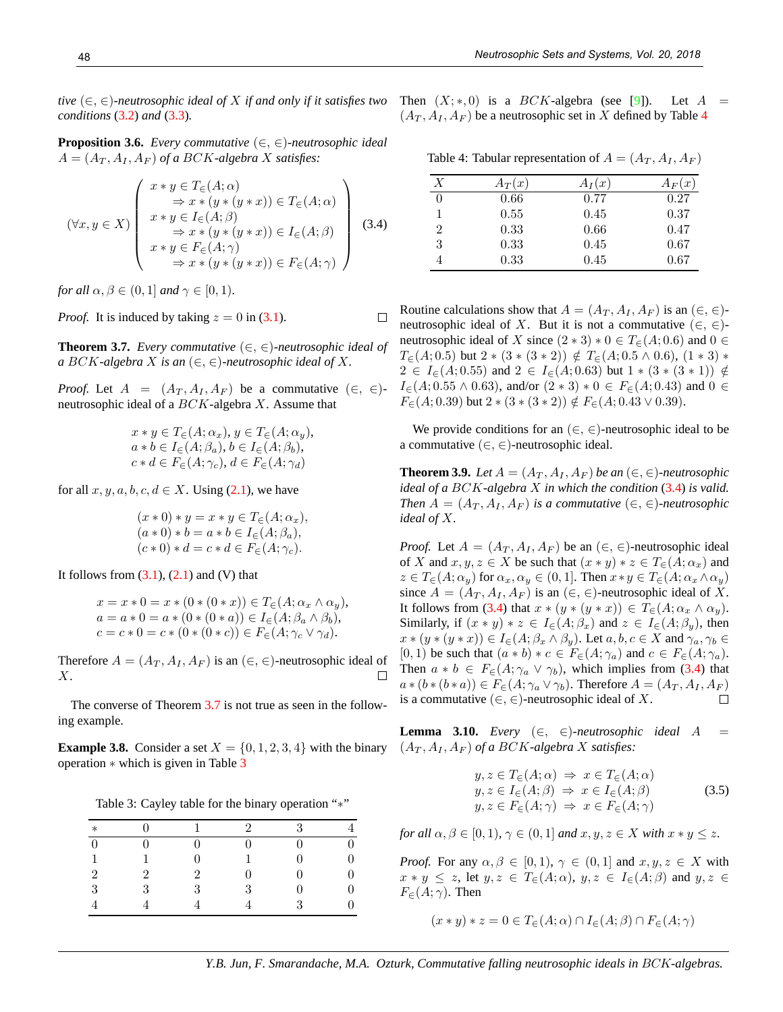*tive*  $(\in, \in)$ *-neutrosophic ideal of* X *if and only if it satisfies two* Then  $(X; *, 0)$  is a BCK-algebra (see [9]). Let A = *conditions* (3.2) *and* (3.3)*.*

**Proposition 3.6.** *Every commutative* (∈, ∈)*-neutrosophic ideal*  $A = (A_T, A_I, A_F)$  of a BCK-algebra X satisfies:

$$
(\forall x, y \in X) \left( \begin{array}{c} x * y \in T_{\in}(A; \alpha) \\ \Rightarrow x * (y * (y * x)) \in T_{\in}(A; \alpha) \\ x * y \in I_{\in}(A; \beta) \\ \Rightarrow x * (y * (y * x)) \in I_{\in}(A; \beta) \\ x * y \in F_{\in}(A; \gamma) \\ \Rightarrow x * (y * (y * x)) \in F_{\in}(A; \gamma) \end{array} \right) (3.4)
$$

*for all*  $\alpha, \beta \in (0, 1]$  *and*  $\gamma \in [0, 1)$ *.* 

*Proof.* It is induced by taking  $z = 0$  in (3.1).

**Theorem 3.7.** *Every commutative* (∈, ∈)*-neutrosophic ideal of a* BCK-algebra X is an  $(\in, \in)$ -neutrosophic ideal of X.

 $\Box$ 

*Proof.* Let  $A = (A_T, A_I, A_F)$  be a commutative  $(\in, \in)$ neutrosophic ideal of a  $BCK$ -algebra X. Assume that

$$
x * y \in T_{\in}(A; \alpha_x), y \in T_{\in}(A; \alpha_y),
$$
  
\n
$$
a * b \in I_{\in}(A; \beta_a), b \in I_{\in}(A; \beta_b),
$$
  
\n
$$
c * d \in F_{\in}(A; \gamma_c), d \in F_{\in}(A; \gamma_d)
$$

for all  $x, y, a, b, c, d \in X$ . Using (2.1), we have

$$
(x * 0) * y = x * y \in T_{\in}(A; \alpha_x),(a * 0) * b = a * b \in I_{\in}(A; \beta_a),(c * 0) * d = c * d \in F_{\in}(A; \gamma_c).
$$

It follows from  $(3.1)$ ,  $(2.1)$  and  $(V)$  that

$$
x = x * 0 = x * (0 * (0 * x)) \in T_{\in}(A; \alpha_x \wedge \alpha_y),
$$
  
\n
$$
a = a * 0 = a * (0 * (0 * a)) \in I_{\in}(A; \beta_a \wedge \beta_b),
$$
  
\n
$$
c = c * 0 = c * (0 * (0 * c)) \in F_{\in}(A; \gamma_c \vee \gamma_d).
$$

Therefore  $A = (A_T, A_I, A_F)$  is an  $(\in, \in)$ -neutrosophic ideal of X. П

The converse of Theorem 3.7 is not true as seen in the following example.

**Example 3.8.** Consider a set  $X = \{0, 1, 2, 3, 4\}$  with the binary  $(A_T, A_T, A_F)$  of a BCK-algebra X satisfies: operation ∗ which is given in Table 3

Table 3: Cayley table for the binary operation "∗"

| $\ast$         |   |   | $\mathcal{D}$ | २ |  |
|----------------|---|---|---------------|---|--|
| $\theta$       |   |   |               |   |  |
| 1              |   |   |               | 0 |  |
| $\overline{2}$ | 2 | 2 |               |   |  |
| 3              | २ | 3 | 3             |   |  |
|                |   |   |               | Q |  |

 $(A_T, A_I, A_F)$  be a neutrosophic set in X defined by Table 4

Table 4: Tabular representation of  $A = (A_T, A_I, A_F)$ 

| X | $A_T(x)$ | $A_I(x)$ | $A_F(x)$ |
|---|----------|----------|----------|
| 0 | 0.66     | 0.77     | 0.27     |
| 1 | 0.55     | 0.45     | 0.37     |
| 2 | 0.33     | 0.66     | 0.47     |
| 3 | 0.33     | 0.45     | 0.67     |
|   | 0.33     | 0.45     | 0.67     |
|   |          |          |          |

Routine calculations show that  $A = (A_T, A_I, A_F)$  is an  $(\in, \in)$ neutrosophic ideal of X. But it is not a commutative  $(\in, \in)$ neutrosophic ideal of X since  $(2 \times 3) \times 0 \in T_{\epsilon}(A; 0.6)$  and  $0 \in$  $T_{\in}(A; 0.5)$  but  $2 * (3 * (3 * 2)) \notin T_{\in}(A; 0.5 \wedge 0.6), (1 * 3) *$  $2 \in I_{\epsilon}(A; 0.55)$  and  $2 \in I_{\epsilon}(A; 0.63)$  but  $1 * (3 * (3 * 1)) \notin$  $I_{\in}(A; 0.55 \wedge 0.63)$ , and/or  $(2 * 3) * 0 \in F_{\in}(A; 0.43)$  and  $0 \in$  $F_{\epsilon}(A; 0.39)$  but  $2 * (3 * (3 * 2)) \notin F_{\epsilon}(A; 0.43 \vee 0.39).$ 

We provide conditions for an  $(\in, \in)$ -neutrosophic ideal to be a commutative  $(\in, \in)$ -neutrosophic ideal.

**Theorem 3.9.** *Let*  $A = (A_T, A_I, A_F)$  *be an*  $(\in, \in)$ *-neutrosophic ideal of a* BCK*-algebra* X *in which the condition* (3.4) *is valid. Then*  $A = (A_T, A_I, A_F)$  *is a commutative*  $(\in, \in)$ *-neutrosophic ideal of* X*.*

*Proof.* Let  $A = (A_T, A_I, A_F)$  be an  $(\in, \in)$ -neutrosophic ideal of X and  $x, y, z \in X$  be such that  $(x * y) * z \in T_{\epsilon}(A; \alpha_x)$  and  $z \in T_{\in}(A; \alpha_y)$  for  $\alpha_x, \alpha_y \in (0, 1]$ . Then  $x \ast y \in T_{\in}(A; \alpha_x \wedge \alpha_y)$ since  $A = (A_T, A_I, A_F)$  is an  $(\in, \in)$ -neutrosophic ideal of X. It follows from (3.4) that  $x * (y * (y * x)) \in T_{\epsilon}(A; \alpha_x \wedge \alpha_y)$ . Similarly, if  $(x * y) * z \in I_{\epsilon}(A; \beta_x)$  and  $z \in I_{\epsilon}(A; \beta_y)$ , then  $x * (y * (y * x)) \in I_{\epsilon}(A; \beta_x \wedge \beta_y)$ . Let  $a, b, c \in X$  and  $\gamma_a, \gamma_b \in$ [0, 1) be such that  $(a * b) * c \in F_{\in}(A; \gamma_a)$  and  $c \in F_{\in}(A; \gamma_a)$ . Then  $a * b \in F_{\in}(A; \gamma_a \vee \gamma_b)$ , which implies from (3.4) that  $a * (b * (b * a)) \in F<sub>\epsilon</sub>(A; \gamma_a \vee \gamma_b)$ . Therefore  $A = (A_T, A_I, A_F)$ is a commutative ( $\in, \in$ )-neutrosophic ideal of X.  $\Box$ 

**Lemma 3.10.** *Every*  $(\in, \in)$ -neutrosophic ideal  $A =$ 

$$
y, z \in T_{\in}(A; \alpha) \Rightarrow x \in T_{\in}(A; \alpha)
$$
  
\n
$$
y, z \in I_{\in}(A; \beta) \Rightarrow x \in I_{\in}(A; \beta)
$$
  
\n
$$
y, z \in F_{\in}(A; \gamma) \Rightarrow x \in F_{\in}(A; \gamma)
$$
\n(3.5)

*for all*  $\alpha, \beta \in [0, 1)$ *,*  $\gamma \in (0, 1]$  *and*  $x, y, z \in X$  *with*  $x * y \leq z$ *.* 

*Proof.* For any  $\alpha, \beta \in [0, 1)$ ,  $\gamma \in (0, 1]$  and  $x, y, z \in X$  with  $x * y \leq z$ , let  $y, z \in T_{\in}(A; \alpha)$ ,  $y, z \in I_{\in}(A; \beta)$  and  $y, z \in$  $F_{\in}(A; \gamma)$ . Then

$$
(x * y) * z = 0 \in T_{\in}(A; \alpha) \cap I_{\in}(A; \beta) \cap F_{\in}(A; \gamma)
$$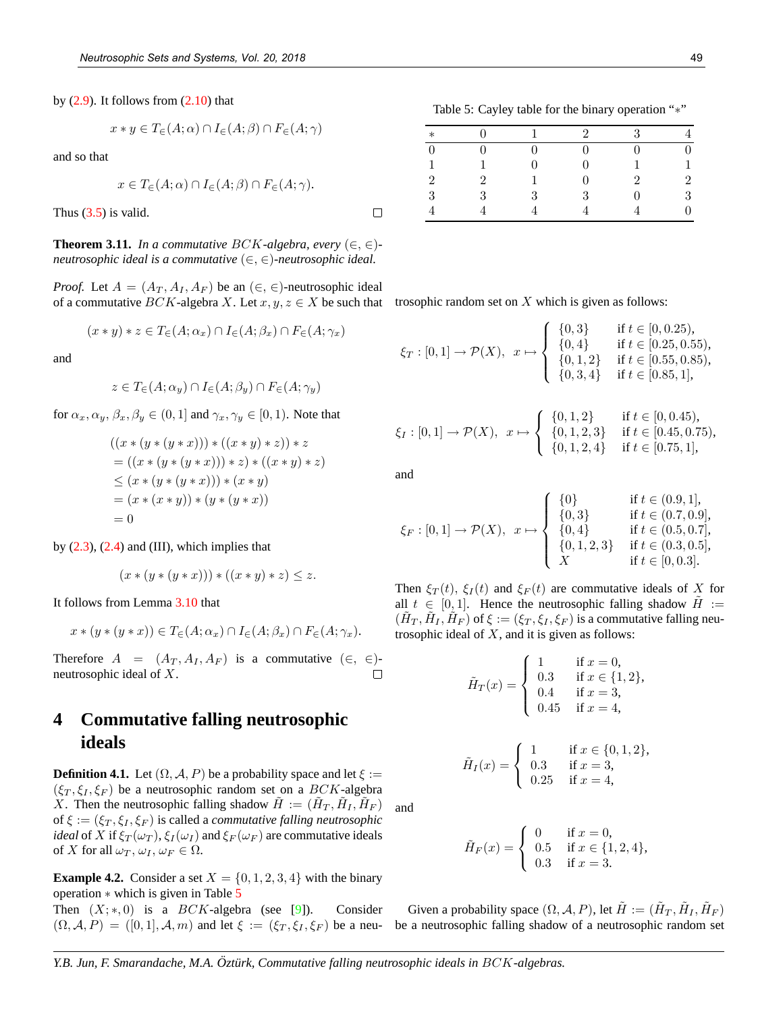by  $(2.9)$ . It follows from  $(2.10)$  that

$$
x * y \in T_{\in}(A; \alpha) \cap I_{\in}(A; \beta) \cap F_{\in}(A; \gamma)
$$

and so that

$$
x \in T_{\in}(A; \alpha) \cap I_{\in}(A; \beta) \cap F_{\in}(A; \gamma).
$$

Thus  $(3.5)$  is valid.

**Theorem 3.11.** *In a commutative BCK-algebra, every*  $(\in, \in)$ *neutrosophic ideal is a commutative* (∈, ∈)*-neutrosophic ideal.*

*Proof.* Let  $A = (A_T, A_I, A_F)$  be an  $(\in, \in)$ -neutrosophic ideal of a commutative  $BCK$ -algebra X. Let  $x, y, z \in X$  be such that

$$
(x * y) * z \in T_{\in}(A; \alpha_x) \cap I_{\in}(A; \beta_x) \cap F_{\in}(A; \gamma_x)
$$

and

$$
z \in T_{\in}(A; \alpha_y) \cap I_{\in}(A; \beta_y) \cap F_{\in}(A; \gamma_y)
$$

for  $\alpha_x, \alpha_y, \beta_x, \beta_y \in (0, 1]$  and  $\gamma_x, \gamma_y \in [0, 1]$ . Note that

$$
((x * (y * (y * x))) * ((x * y) * z)) * z
$$
  
= ((x \* (y \* (y \* x))) \* z) \* ((x \* y) \* z)  

$$
\leq (x * (y * (y * x))) * (x * y)
$$
  
= (x \* (x \* y)) \* (y \* (y \* x))  
= 0

by  $(2.3)$ ,  $(2.4)$  and  $(III)$ , which implies that

$$
(x * (y * (y * x))) * ((x * y) * z) \leq z.
$$

It follows from Lemma 3.10 that

$$
x * (y * (y * x)) \in T_{\infty}(A; \alpha_x) \cap I_{\infty}(A; \beta_x) \cap F_{\infty}(A; \gamma_x).
$$

Therefore  $A = (A_T, A_I, A_F)$  is a commutative  $(\in, \in)$ neutrosophic ideal of X.  $\Box$ 

## **4 Commutative falling neutrosophic ideals**

**Definition 4.1.** Let  $(\Omega, \mathcal{A}, P)$  be a probability space and let  $\xi :=$  $(\xi_T, \xi_I, \xi_F)$  be a neutrosophic random set on a  $BCK$ -algebra X. Then the neutrosophic falling shadow  $\tilde{H} := (\tilde{H}_T, \tilde{H}_I, \tilde{H}_F)$ of  $\xi := (\xi_T, \xi_I, \xi_F)$  is called a *commutative falling neutrosophic ideal* of X if  $\xi_T(\omega_T)$ ,  $\xi_I(\omega_I)$  and  $\xi_F(\omega_F)$  are commutative ideals of X for all  $\omega_T$ ,  $\omega_I$ ,  $\omega_F \in \Omega$ .

**Example 4.2.** Consider a set  $X = \{0, 1, 2, 3, 4\}$  with the binary operation ∗ which is given in Table 5

Then  $(X;*,0)$  is a  $BCK$ -algebra (see [9]). Consider  $(\Omega, \mathcal{A}, P) = ([0, 1], \mathcal{A}, m)$  and let  $\xi := (\xi_T, \xi_I, \xi_F)$  be a neu-

Table 5: Cayley table for the binary operation "∗"

| $\ast$       |   |                   | $\mathcal{D}_{\mathcal{L}}$ | 3        |   |
|--------------|---|-------------------|-----------------------------|----------|---|
| 0            | ∩ | $\mathbf{\Omega}$ | 0                           | $^{(1)}$ | 0 |
| $\mathbf{1}$ |   | 0                 | 0                           |          |   |
| 2            | 2 |                   | Ω                           | 2        | 2 |
| 3            | 3 | 3                 | 3                           | 0        | 3 |
|              |   |                   |                             |          | 0 |

trosophic random set on  $X$  which is given as follows:

$$
\xi_T : [0,1] \to \mathcal{P}(X), \quad x \mapsto \begin{cases} \{0,3\} & \text{if } t \in [0,0.25), \\ \{0,4\} & \text{if } t \in [0.25,0.55), \\ \{0,1,2\} & \text{if } t \in [0.55,0.85), \\ \{0,3,4\} & \text{if } t \in [0.85,1], \end{cases}
$$

$$
\xi_I : [0,1] \to \mathcal{P}(X), \quad x \mapsto \begin{cases} \{0,1,2\} & \text{if } t \in [0,0.45), \\ \{0,1,2,3\} & \text{if } t \in [0.45,0.75), \\ \{0,1,2,4\} & \text{if } t \in [0.75,1], \end{cases}
$$

and

 $\Box$ 

$$
\xi_F : [0,1] \to \mathcal{P}(X), \quad x \mapsto \begin{cases} \{0\} & \text{if } t \in (0.9,1], \\ \{0,3\} & \text{if } t \in (0.7,0.9], \\ \{0,4\} & \text{if } t \in (0.5,0.7], \\ \{0,1,2,3\} & \text{if } t \in (0.3,0.5], \\ X & \text{if } t \in [0,0.3]. \end{cases}
$$

Then  $\xi_T(t)$ ,  $\xi_I(t)$  and  $\xi_F(t)$  are commutative ideals of X for all  $t \in [0, 1]$ . Hence the neutrosophic falling shadow  $H :=$  $(\tilde{H}_T, \tilde{H}_I, \tilde{H}_F)$  of  $\xi := (\xi_T, \xi_I, \xi_F)$  is a commutative falling neutrosophic ideal of  $X$ , and it is given as follows:

$$
\tilde{H}_T(x) = \begin{cases}\n1 & \text{if } x = 0, \\
0.3 & \text{if } x \in \{1, 2\}, \\
0.4 & \text{if } x = 3, \\
0.45 & \text{if } x = 4,\n\end{cases}
$$

$$
\tilde{H}_I(x) = \begin{cases}\n1 & \text{if } x \in \{0, 1, 2\}, \\
0.3 & \text{if } x = 3, \\
0.25 & \text{if } x = 4,\n\end{cases}
$$

and

$$
\tilde{H}_F(x) = \begin{cases}\n0 & \text{if } x = 0, \\
0.5 & \text{if } x \in \{1, 2, 4\}, \\
0.3 & \text{if } x = 3.\n\end{cases}
$$

Given a probability space  $(\Omega, \mathcal{A}, P)$ , let  $\tilde{H} := (\tilde{H}_T, \tilde{H}_I, \tilde{H}_F)$ be a neutrosophic falling shadow of a neutrosophic random set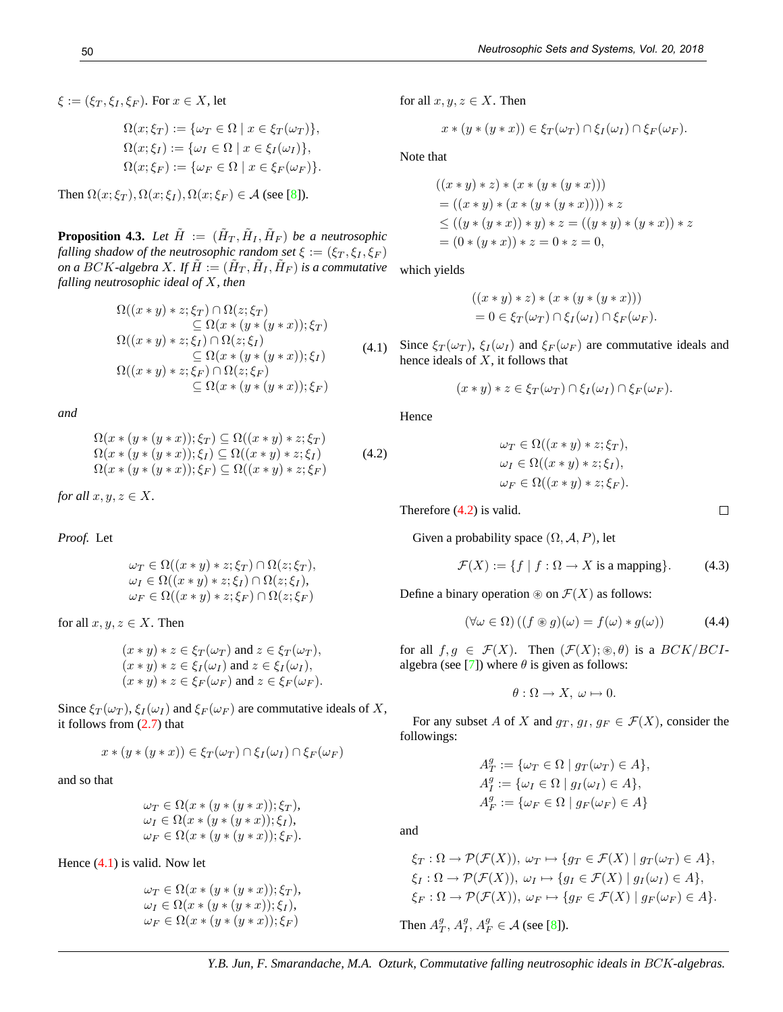$\xi := (\xi_T, \xi_I, \xi_F)$ . For  $x \in X$ , let

$$
\Omega(x; \xi_T) := \{ \omega_T \in \Omega \mid x \in \xi_T(\omega_T) \},
$$
  
\n
$$
\Omega(x; \xi_I) := \{ \omega_I \in \Omega \mid x \in \xi_I(\omega_I) \},
$$
  
\n
$$
\Omega(x; \xi_F) := \{ \omega_F \in \Omega \mid x \in \xi_F(\omega_F) \}.
$$

Then  $\Omega(x;\xi_T)$ ,  $\Omega(x;\xi_I)$ ,  $\Omega(x;\xi_F) \in \mathcal{A}$  (see [8]).

**Proposition 4.3.** Let  $\tilde{H}$  :=  $(\tilde{H}_T, \tilde{H}_I, \tilde{H}_F)$  be a neutrosophic *falling shadow of the neutrosophic random set*  $\xi := (\xi_T, \xi_I, \xi_F)$ *on a BCK-algebra X. If*  $\tilde{H} := (\tilde{H}_T, \tilde{H}_I, \tilde{H}_F)$  *is a commutative falling neutrosophic ideal of* X*, then*

$$
\Omega((x * y) * z; \xi_T) \cap \Omega(z; \xi_T)
$$
\n
$$
\subseteq \Omega(x * (y * (y * x)); \xi_T)
$$
\n
$$
\Omega((x * y) * z; \xi_I) \cap \Omega(z; \xi_I)
$$
\n
$$
\subseteq \Omega(x * (y * (y * x)); \xi_I)
$$
\n
$$
\Omega((x * y) * z; \xi_F) \cap \Omega(z; \xi_F)
$$
\n
$$
\subseteq \Omega(x * (y * (y * x)); \xi_F)
$$

*and*

$$
\Omega(x * (y * (y * x)); \xi_T) \subseteq \Omega((x * y) * z; \xi_T)
$$
  
\n
$$
\Omega(x * (y * (y * x)); \xi_I) \subseteq \Omega((x * y) * z; \xi_I)
$$
  
\n
$$
\Omega(x * (y * (y * x)); \xi_F) \subseteq \Omega((x * y) * z; \xi_F)
$$
\n(4.2)

*for all*  $x, y, z \in X$ *.* 

*Proof.* Let

$$
\omega_T \in \Omega((x * y) * z; \xi_T) \cap \Omega(z; \xi_T),
$$
  
\n
$$
\omega_I \in \Omega((x * y) * z; \xi_I) \cap \Omega(z; \xi_I),
$$
  
\n
$$
\omega_F \in \Omega((x * y) * z; \xi_F) \cap \Omega(z; \xi_F)
$$

for all  $x, y, z \in X$ . Then

$$
(x * y) * z \in \xi_T(\omega_T) \text{ and } z \in \xi_T(\omega_T),
$$
  
\n
$$
(x * y) * z \in \xi_I(\omega_I) \text{ and } z \in \xi_I(\omega_I),
$$
  
\n
$$
(x * y) * z \in \xi_F(\omega_F) \text{ and } z \in \xi_F(\omega_F).
$$

Since  $\xi_T(\omega_T)$ ,  $\xi_I(\omega_I)$  and  $\xi_F(\omega_F)$  are commutative ideals of X, it follows from (2.7) that

$$
x * (y * (y * x)) \in \xi_T(\omega_T) \cap \xi_I(\omega_I) \cap \xi_F(\omega_F)
$$

and so that

$$
\omega_T \in \Omega(x * (y * (y * x)); \xi_T),
$$
  
\n
$$
\omega_I \in \Omega(x * (y * (y * x)); \xi_I),
$$
  
\n
$$
\omega_F \in \Omega(x * (y * (y * x)); \xi_F).
$$

Hence (4.1) is valid. Now let

$$
\omega_T \in \Omega(x * (y * (y * x)); \xi_T),
$$
  
\n
$$
\omega_I \in \Omega(x * (y * (y * x)); \xi_I),
$$
  
\n
$$
\omega_F \in \Omega(x * (y * (y * x)); \xi_F)
$$

for all  $x, y, z \in X$ . Then

$$
x * (y * (y * x)) \in \xi_T(\omega_T) \cap \xi_I(\omega_I) \cap \xi_F(\omega_F).
$$

Note that

$$
((x * y) * z) * (x * (y * (y * x)))
$$
  
= ((x \* y) \* (x \* (y \* (y \* x)))) \* z  

$$
\leq ((y * (y * x)) * y) * z = ((y * y) * (y * x)) * z
$$
  
= (0 \* (y \* x)) \* z = 0 \* z = 0,

which yields

$$
((x * y) * z) * (x * (y * (y * x)))
$$
  
= 0 \in \xi\_T(\omega\_T) \cap \xi\_I(\omega\_I) \cap \xi\_F(\omega\_F).

(4.1) Since  $\xi_T(\omega_T)$ ,  $\xi_I(\omega_I)$  and  $\xi_F(\omega_F)$  are commutative ideals and hence ideals of  $X$ , it follows that

$$
(x * y) * z \in \xi_T(\omega_T) \cap \xi_I(\omega_I) \cap \xi_F(\omega_F).
$$

Hence

$$
\omega_T \in \Omega((x * y) * z; \xi_T),
$$
  
\n
$$
\omega_I \in \Omega((x * y) * z; \xi_I),
$$
  
\n
$$
\omega_F \in \Omega((x * y) * z; \xi_F).
$$

Therefore (4.2) is valid.

Given a probability space  $(\Omega, \mathcal{A}, P)$ , let

$$
\mathcal{F}(X) := \{ f \mid f : \Omega \to X \text{ is a mapping} \}. \tag{4.3}
$$

Define a binary operation  $\mathcal{F}(X)$  as follows:

$$
(\forall \omega \in \Omega) \left( (f \circledast g)(\omega) = f(\omega) * g(\omega) \right) \tag{4.4}
$$

for all  $f, g \in \mathcal{F}(X)$ . Then  $(\mathcal{F}(X); \mathcal{F}, \theta)$  is a  $BCK/BCI$ algebra (see [7]) where  $\theta$  is given as follows:

 $\theta : \Omega \to X$ ,  $\omega \mapsto 0$ .

For any subset A of X and  $g_T, g_I, g_F \in \mathcal{F}(X)$ , consider the followings:

$$
A_T^g := \{ \omega_T \in \Omega \mid g_T(\omega_T) \in A \},
$$
  
\n
$$
A_T^g := \{ \omega_I \in \Omega \mid g_I(\omega_I) \in A \},
$$
  
\n
$$
A_F^g := \{ \omega_F \in \Omega \mid g_F(\omega_F) \in A \}
$$

and

$$
\xi_T : \Omega \to \mathcal{P}(\mathcal{F}(X)), \omega_T \mapsto \{ g_T \in \mathcal{F}(X) \mid g_T(\omega_T) \in A \},
$$
  
\n
$$
\xi_I : \Omega \to \mathcal{P}(\mathcal{F}(X)), \omega_I \mapsto \{ g_I \in \mathcal{F}(X) \mid g_I(\omega_I) \in A \},
$$
  
\n
$$
\xi_F : \Omega \to \mathcal{P}(\mathcal{F}(X)), \omega_F \mapsto \{ g_F \in \mathcal{F}(X) \mid g_F(\omega_F) \in A \}.
$$

Then  $A_T^g$ ,  $A_I^g$ ,  $A_F^g \in \mathcal{A}$  (see [8]).

*Y.B. Jun, F. Smarandache, M.A. Ozturk, Commutative falling neutrosophic ideals in* BCK*-algebras.*

 $\Box$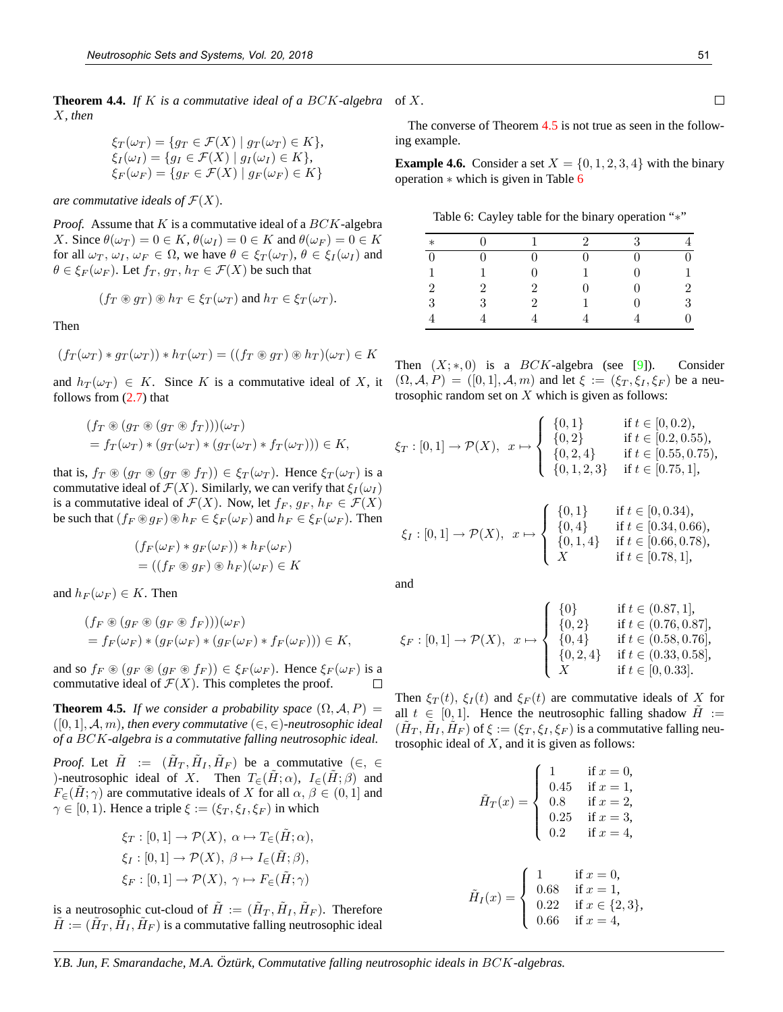**Theorem 4.4.** *If* K *is a commutative ideal of a* BCK*-algebra* of X. X*, then*

$$
\xi_T(\omega_T) = \{ g_T \in \mathcal{F}(X) \mid g_T(\omega_T) \in K \},
$$
  
\n
$$
\xi_I(\omega_I) = \{ g_I \in \mathcal{F}(X) \mid g_I(\omega_I) \in K \},
$$
  
\n
$$
\xi_F(\omega_F) = \{ g_F \in \mathcal{F}(X) \mid g_F(\omega_F) \in K \}
$$

*are commutative ideals of*  $\mathcal{F}(X)$ *.* 

*Proof.* Assume that  $K$  is a commutative ideal of a  $BCK$ -algebra X. Since  $\theta(\omega_T) = 0 \in K$ ,  $\theta(\omega_I) = 0 \in K$  and  $\theta(\omega_F) = 0 \in K$ for all  $\omega_T$ ,  $\omega_I$ ,  $\omega_F \in \Omega$ , we have  $\theta \in \xi_T(\omega_T)$ ,  $\theta \in \xi_I(\omega_I)$  and  $\theta \in \xi_F(\omega_F)$ . Let  $f_T, g_T, h_T \in \mathcal{F}(X)$  be such that

$$
(f_T \circledast g_T) \circledast h_T \in \xi_T(\omega_T)
$$
 and  $h_T \in \xi_T(\omega_T)$ .

Then

$$
(f_T(\omega_T) * g_T(\omega_T)) * h_T(\omega_T) = ((f_T \circledast g_T) \circledast h_T)(\omega_T) \in K
$$

and  $h_T(\omega_T) \in K$ . Since K is a commutative ideal of X, it follows from (2.7) that

$$
(f_T \circledast (g_T \circledast (g_T \circledast f_T)))(\omega_T)
$$
  
=  $f_T(\omega_T) * (g_T(\omega_T) * (g_T(\omega_T) * f_T(\omega_T))) \in K$ ,

that is,  $f_T \otimes (g_T \otimes (g_T \otimes f_T)) \in \xi_T(\omega_T)$ . Hence  $\xi_T(\omega_T)$  is a commutative ideal of  $\mathcal{F}(X)$ . Similarly, we can verify that  $\xi_I(\omega_I)$ is a commutative ideal of  $\mathcal{F}(X)$ . Now, let  $f_F, g_F, h_F \in \mathcal{F}(X)$ be such that  $(f_F \otimes g_F) \otimes h_F \in \xi_F(\omega_F)$  and  $h_F \in \xi_F(\omega_F)$ . Then

$$
(f_F(\omega_F) * g_F(\omega_F)) * h_F(\omega_F)
$$
  
= ((f\_F \otimes g\_F) \otimes h\_F)(\omega\_F) \in K

and  $h_F(\omega_F) \in K$ . Then

$$
(f_F \circledast (g_F \circledast (g_F \circledast f_F)))(\omega_F)
$$
  
=  $f_F(\omega_F) * (g_F(\omega_F) * (g_F(\omega_F) * f_F(\omega_F))) \in K$ ,

and so  $f_F \otimes (g_F \otimes (g_F \otimes f_F)) \in \xi_F(\omega_F)$ . Hence  $\xi_F(\omega_F)$  is a commutative ideal of  $\mathcal{F}(X)$ . This completes the proof.  $\Box$ 

**Theorem 4.5.** *If we consider a probability space*  $(\Omega, \mathcal{A}, P)$  =  $([0, 1], \mathcal{A}, m)$ , then every commutative  $(\in, \in)$ -neutrosophic ideal *of a* BCK*-algebra is a commutative falling neutrosophic ideal.*

*Proof.* Let  $\tilde{H} := (\tilde{H}_T, \tilde{H}_I, \tilde{H}_F)$  be a commutative  $(\in, \in$ )-neutrosophic ideal of X. Then  $T_{\in}(\tilde{H};\alpha)$ ,  $I_{\in}(\tilde{H};\beta)$  and  $F_{\in}(H; \gamma)$  are commutative ideals of X for all  $\alpha, \beta \in (0, 1]$  and  $\gamma \in [0, 1)$ . Hence a triple  $\xi := (\xi_T, \xi_I, \xi_F)$  in which

$$
\xi_T : [0,1] \to \mathcal{P}(X), \ \alpha \mapsto T_{\in}(\tilde{H}; \alpha),
$$

$$
\xi_I : [0,1] \to \mathcal{P}(X), \ \beta \mapsto I_{\in}(\tilde{H}; \beta),
$$

$$
\xi_F : [0,1] \to \mathcal{P}(X), \ \gamma \mapsto F_{\in}(\tilde{H}; \gamma)
$$

is a neutrosophic cut-cloud of  $\tilde{H} := (\tilde{H}_T, \tilde{H}_I, \tilde{H}_F)$ . Therefore  $\tilde{H} := (\tilde{H}_T, \tilde{H}_I, \tilde{H}_F)$  is a commutative falling neutrosophic ideal

The converse of Theorem 4.5 is not true as seen in the following example.

**Example 4.6.** Consider a set  $X = \{0, 1, 2, 3, 4\}$  with the binary operation ∗ which is given in Table 6

Table 6: Cayley table for the binary operation "∗"

| $\ast$           |                             |   | 9 | २            | 4              |
|------------------|-----------------------------|---|---|--------------|----------------|
| $\boldsymbol{0}$ |                             |   |   |              | $\overline{0}$ |
| 1                |                             |   |   | 0            | 1              |
| $\overline{2}$   | $\mathcal{D}_{\mathcal{L}}$ | 2 |   | $\mathbf{0}$ | $\overline{2}$ |
| 3                | 3                           | 2 |   | Ω            | $\,3$          |
| $\overline{4}$   |                             |   |   |              | 0              |

Then  $(X;*,0)$  is a  $BCK$ -algebra (see [9]). Consider  $(\Omega, \mathcal{A}, P) = ([0, 1], \mathcal{A}, m)$  and let  $\xi := (\xi_T, \xi_I, \xi_F)$  be a neutrosophic random set on  $X$  which is given as follows:

$$
\xi_T : [0,1] \to \mathcal{P}(X), \quad x \mapsto \begin{cases} \{0,1\} & \text{if } t \in [0,0.2), \\ \{0,2\} & \text{if } t \in [0.2,0.55), \\ \{0,2,4\} & \text{if } t \in [0.55,0.75), \\ \{0,1,2,3\} & \text{if } t \in [0.75,1], \end{cases}
$$

$$
\xi_I : [0,1] \to \mathcal{P}(X), \quad x \mapsto \begin{cases} \{0,1\} & \text{if } t \in [0,0.34), \\ \{0,4\} & \text{if } t \in [0.34,0.66), \\ \{0,1,4\} & \text{if } t \in [0.66,0.78), \\ X & \text{if } t \in [0.78,1], \end{cases}
$$

and

$$
\xi_F : [0,1] \to \mathcal{P}(X), \quad x \mapsto \begin{cases} \{0\} & \text{if } t \in (0.87,1], \\ \{0,2\} & \text{if } t \in (0.76,0.87], \\ \{0,4\} & \text{if } t \in (0.58,0.76], \\ \{0,2,4\} & \text{if } t \in (0.33,0.58], \\ X & \text{if } t \in [0,0.33]. \end{cases}
$$

Then  $\xi_T(t)$ ,  $\xi_I(t)$  and  $\xi_F(t)$  are commutative ideals of X for all  $t \in [0, 1]$ . Hence the neutrosophic falling shadow  $H :=$  $(\tilde{H}_T, \tilde{H}_I, \tilde{H}_F)$  of  $\xi := (\xi_T, \xi_I, \xi_F)$  is a commutative falling neutrosophic ideal of  $X$ , and it is given as follows:

$$
\tilde{H}_T(x) = \begin{cases}\n1 & \text{if } x = 0, \\
0.45 & \text{if } x = 1, \\
0.8 & \text{if } x = 2, \\
0.25 & \text{if } x = 3, \\
0.2 & \text{if } x = 4,\n\end{cases}
$$
\n
$$
\tilde{H}_I(x) = \begin{cases}\n1 & \text{if } x = 0, \\
0.68 & \text{if } x = 1, \\
0.22 & \text{if } x \in \{2, 3\}, \\
0.66 & \text{if } x = 4,\n\end{cases}
$$

 $\Box$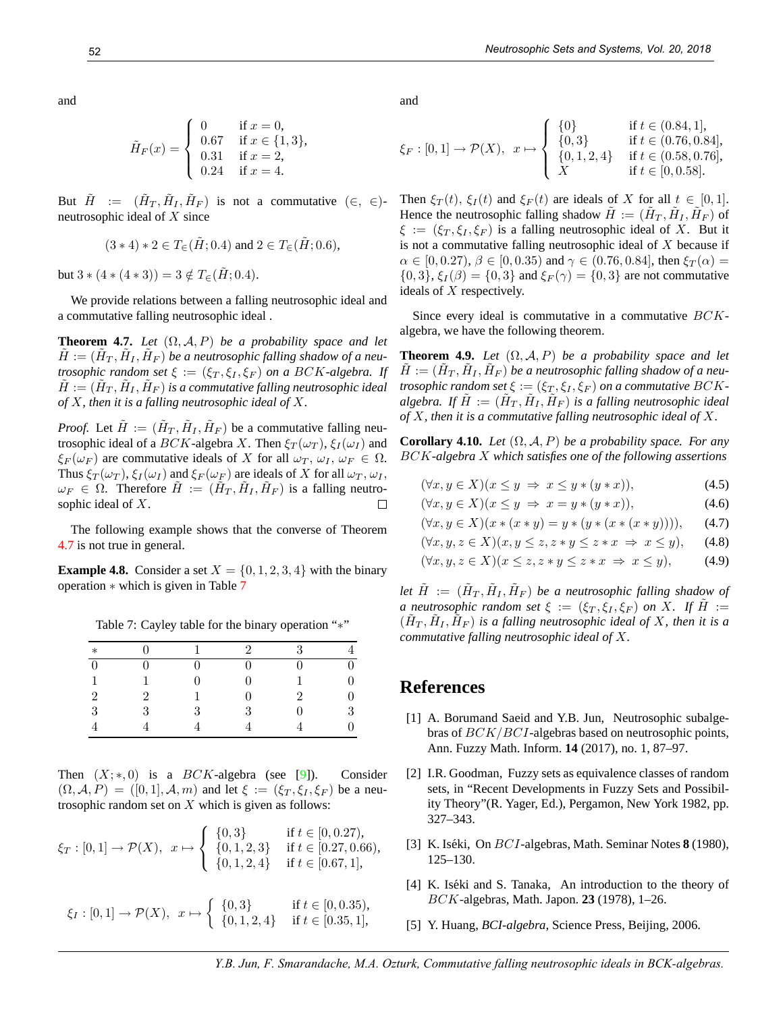$$
\tilde{H}_F(x) = \begin{cases}\n0 & \text{if } x = 0, \\
0.67 & \text{if } x \in \{1, 3\}, \\
0.31 & \text{if } x = 2, \\
0.24 & \text{if } x = 4.\n\end{cases}
$$

But  $\tilde{H}$  :=  $(\tilde{H}_T, \tilde{H}_I, \tilde{H}_F)$  is not a commutative  $(\in, \in)$ neutrosophic ideal of X since

$$
(3 * 4) * 2 \in T_{\infty}(\tilde{H}; 0.4)
$$
 and  $2 \in T_{\infty}(\tilde{H}; 0.6)$ ,

but  $3 * (4 * (4 * 3)) = 3 \notin T_{\epsilon}(\tilde{H}; 0.4).$ 

We provide relations between a falling neutrosophic ideal and a commutative falling neutrosophic ideal .

**Theorem 4.7.** *Let*  $(\Omega, \mathcal{A}, P)$  *be a probability space and let*  $\tilde{H} := (\tilde{H}_T, \tilde{H}_I, \tilde{H}_F)$  be a neutrosophic falling shadow of a neu*trosophic random set*  $\xi := (\xi_T, \xi_I, \xi_F)$  *on a BCK-algebra. If*  $\tilde{H} := (\tilde{H}_T, \tilde{H}_I, \tilde{H}_F)$  is a commutative falling neutrosophic ideal *of* X*, then it is a falling neutrosophic ideal of* X*.*

*Proof.* Let  $\tilde{H} := (\tilde{H}_T, \tilde{H}_I, \tilde{H}_F)$  be a commutative falling neutrosophic ideal of a BCK-algebra X. Then  $\xi_T(\omega_T)$ ,  $\xi_I(\omega_I)$  and  $\xi_F(\omega_F)$  are commutative ideals of X for all  $\omega_T$ ,  $\omega_I$ ,  $\omega_F \in \Omega$ . Thus  $\xi_T(\omega_T)$ ,  $\xi_I(\omega_I)$  and  $\xi_F(\omega_F)$  are ideals of X for all  $\omega_T$ ,  $\omega_I$ ,  $\omega_F \in \Omega$ . Therefore  $\tilde{H} := (\tilde{H}_T, \tilde{H}_I, \tilde{H}_F)$  is a falling neutrosophic ideal of X. П

The following example shows that the converse of Theorem 4.7 is not true in general.

**Example 4.8.** Consider a set  $X = \{0, 1, 2, 3, 4\}$  with the binary operation ∗ which is given in Table 7

| $\ast$         |   |   | $\mathcal{D}_{\mathcal{L}}$ | $\mathcal{R}$               |   |
|----------------|---|---|-----------------------------|-----------------------------|---|
|                |   |   |                             | O                           | 0 |
|                |   |   |                             |                             | 0 |
| $\overline{2}$ | 2 |   |                             | $\mathcal{D}_{\mathcal{L}}$ | 0 |
| 3              | २ | ર | 3                           | 0                           | 3 |
|                |   |   |                             |                             | 0 |

Table 7: Cayley table for the binary operation "∗"

Then  $(X;*,0)$  is a  $BCK$ -algebra (see [9]). Consider  $(\Omega, \mathcal{A}, P) = ([0, 1], \mathcal{A}, m)$  and let  $\xi := (\xi_T, \xi_I, \xi_F)$  be a neutrosophic random set on  $X$  which is given as follows:

$$
\xi_T : [0,1] \to \mathcal{P}(X), \quad x \mapsto \begin{cases} \{0,3\} & \text{if } t \in [0,0.27), \\ \{0,1,2,3\} & \text{if } t \in [0.27,0.66), \\ \{0,1,2,4\} & \text{if } t \in [0.67,1], \end{cases}
$$

$$
\xi_I : [0,1] \to \mathcal{P}(X), \quad x \mapsto \begin{cases} \{0,3\} & \text{if } t \in [0,0.35), \\ \{0,1,2,4\} & \text{if } t \in [0.35,1], \end{cases}
$$

and

$$
\xi_F : [0,1] \to \mathcal{P}(X), \quad x \mapsto \begin{cases} \{0\} & \text{if } t \in (0.84,1], \\ \{0,3\} & \text{if } t \in (0.76,0.84], \\ \{0,1,2,4\} & \text{if } t \in (0.58,0.76], \\ X & \text{if } t \in [0,0.58]. \end{cases}
$$

Then  $\xi_T(t)$ ,  $\xi_I(t)$  and  $\xi_F(t)$  are ideals of X for all  $t \in [0,1]$ . Hence the neutrosophic falling shadow  $\tilde{H} := (\tilde{H}_T, \tilde{H}_I, \tilde{H}_F)$  of  $\xi := (\xi_T, \xi_I, \xi_F)$  is a falling neutrosophic ideal of X. But it is not a commutative falling neutrosophic ideal of  $X$  because if  $\alpha \in [0, 0.27), \beta \in [0, 0.35)$  and  $\gamma \in (0.76, 0.84]$ , then  $\xi_T(\alpha) =$  $\{0,3\}, \xi_I(\beta) = \{0,3\}$  and  $\xi_F(\gamma) = \{0,3\}$  are not commutative ideals of X respectively.

Since every ideal is commutative in a commutative  $BCK$ algebra, we have the following theorem.

**Theorem 4.9.** *Let*  $(\Omega, \mathcal{A}, P)$  *be a probability space and let*  $\tilde{H} := (\tilde{H}_T, \tilde{H}_I, \tilde{H}_F)$  be a neutrosophic falling shadow of a neu*trosophic random set*  $\xi := (\xi_T, \xi_I, \xi_F)$  *on a commutative BCK*algebra. If  $\tilde{H} := (\tilde{H}_T, \tilde{H}_I, \tilde{H}_F)$  is a falling neutrosophic ideal *of* X*, then it is a commutative falling neutrosophic ideal of* X*.*

**Corollary 4.10.** *Let*  $(\Omega, \mathcal{A}, P)$  *be a probability space. For any* BCK*-algebra* X *which satisfies one of the following assertions*

$$
(\forall x, y \in X)(x \le y \implies x \le y * (y * x)), \tag{4.5}
$$

$$
(\forall x, y \in X)(x \le y \implies x = y * (y * x)), \tag{4.6}
$$

$$
(\forall x, y \in X)(x * (x * y) = y * (y * (x * (x * y))))
$$
\n(4.7)

$$
(\forall x, y, z \in X)(x, y \le z, z * y \le z * x \implies x \le y), \quad (4.8)
$$

$$
(\forall x, y, z \in X)(x \le z, z * y \le z * x \implies x \le y), \tag{4.9}
$$

let  $\tilde{H}$  :=  $(\tilde{H}_T, \tilde{H}_I, \tilde{H}_F)$  be a neutrosophic falling shadow of *a neutrosophic random set*  $\xi := (\xi_T, \xi_I, \xi_F)$  *on* X. If  $\tilde{H} :=$  $(\tilde{H}_T, \tilde{H}_I, \tilde{H}_F)$  is a falling neutrosophic ideal of X, then it is a *commutative falling neutrosophic ideal of* X*.*

#### **References**

- [1] A. Borumand Saeid and Y.B. Jun, Neutrosophic subalgebras of BCK/BCI-algebras based on neutrosophic points, Ann. Fuzzy Math. Inform. **14** (2017), no. 1, 87–97.
- [2] I.R. Goodman, Fuzzy sets as equivalence classes of random sets, in "Recent Developments in Fuzzy Sets and Possibility Theory"(R. Yager, Ed.), Pergamon, New York 1982, pp. 327–343.
- [3] K. Iséki, On *BCI*-algebras, Math. Seminar Notes **8** (1980), 125–130.
- [4] K. Iséki and S. Tanaka, An introduction to the theory of BCK-algebras, Math. Japon. **23** (1978), 1–26.
- [5] Y. Huang, *BCI-algebra,* Science Press, Beijing, 2006.